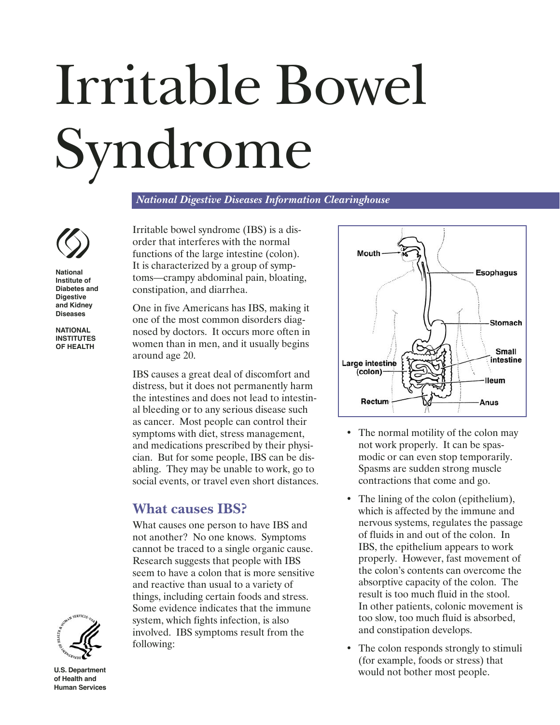# Irritable Bowel Syndrome

*National Digestive Diseases Information Clearinghouse*

**National Institute of Diabetes and Digestive and Kidney Diseases**

**NATIONAL INSTITUTES OF HEALTH**

Irritable bowel syndrome (IBS) is a disorder that interferes with the normal functions of the large intestine (colon). It is characterized by a group of symptoms—crampy abdominal pain, bloating, constipation, and diarrhea.

One in five Americans has IBS, making it one of the most common disorders diagnosed by doctors. It occurs more often in women than in men, and it usually begins around age 20.

IBS causes a great deal of discomfort and distress, but it does not permanently harm the intestines and does not lead to intestinal bleeding or to any serious disease such as cancer. Most people can control their symptoms with diet, stress management, and medications prescribed by their physician. But for some people, IBS can be disabling. They may be unable to work, go to social events, or travel even short distances.

# **What causes IBS?**

What causes one person to have IBS and not another? No one knows. Symptoms cannot be traced to a single organic cause. Research suggests that people with IBS seem to have a colon that is more sensitive and reactive than usual to a variety of things, including certain foods and stress. Some evidence indicates that the immune system, which fights infection, is also involved. IBS symptoms result from the following:



- The normal motility of the colon may not work properly. It can be spasmodic or can even stop temporarily. Spasms are sudden strong muscle contractions that come and go.
- The lining of the colon (epithelium), which is affected by the immune and nervous systems, regulates the passage of fluids in and out of the colon. In IBS, the epithelium appears to work properly. However, fast movement of the colon's contents can overcome the absorptive capacity of the colon. The result is too much fluid in the stool. In other patients, colonic movement is too slow, too much fluid is absorbed, and constipation develops.
- The colon responds strongly to stimuli (for example, foods or stress) that would not bother most people.



**U.S. Department of Health and Human Services**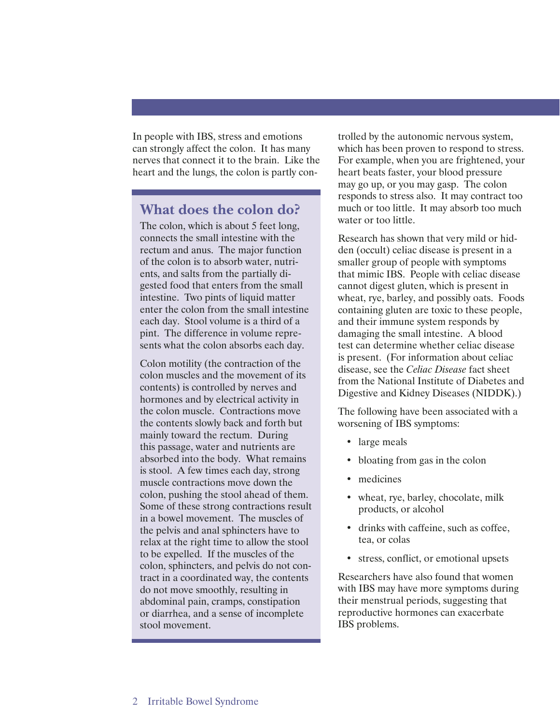In people with IBS, stress and emotions can strongly affect the colon. It has many nerves that connect it to the brain. Like the heart and the lungs, the colon is partly con-

#### **What does the colon do?**

The colon, which is about 5 feet long, connects the small intestine with the rectum and anus. The major function of the colon is to absorb water, nutrients, and salts from the partially digested food that enters from the small intestine. Two pints of liquid matter enter the colon from the small intestine each day. Stool volume is a third of a pint. The difference in volume represents what the colon absorbs each day.

Colon motility (the contraction of the colon muscles and the movement of its contents) is controlled by nerves and hormones and by electrical activity in the colon muscle. Contractions move the contents slowly back and forth but mainly toward the rectum. During this passage, water and nutrients are absorbed into the body. What remains is stool. A few times each day, strong muscle contractions move down the colon, pushing the stool ahead of them. Some of these strong contractions result in a bowel movement. The muscles of the pelvis and anal sphincters have to relax at the right time to allow the stool to be expelled. If the muscles of the colon, sphincters, and pelvis do not contract in a coordinated way, the contents do not move smoothly, resulting in abdominal pain, cramps, constipation or diarrhea, and a sense of incomplete stool movement.

trolled by the autonomic nervous system, which has been proven to respond to stress. For example, when you are frightened, your heart beats faster, your blood pressure may go up, or you may gasp. The colon responds to stress also. It may contract too much or too little. It may absorb too much water or too little.

Research has shown that very mild or hidden (occult) celiac disease is present in a smaller group of people with symptoms that mimic IBS. People with celiac disease cannot digest gluten, which is present in wheat, rye, barley, and possibly oats. Foods containing gluten are toxic to these people, and their immune system responds by damaging the small intestine. A blood test can determine whether celiac disease is present. (For information about celiac disease, see the *Celiac Disease* fact sheet from the National Institute of Diabetes and Digestive and Kidney Diseases (NIDDK).)

The following have been associated with a worsening of IBS symptoms:

- large meals
- bloating from gas in the colon
- medicines
- wheat, rye, barley, chocolate, milk products, or alcohol
- drinks with caffeine, such as coffee, tea, or colas
- stress, conflict, or emotional upsets

Researchers have also found that women with IBS may have more symptoms during their menstrual periods, suggesting that reproductive hormones can exacerbate IBS problems.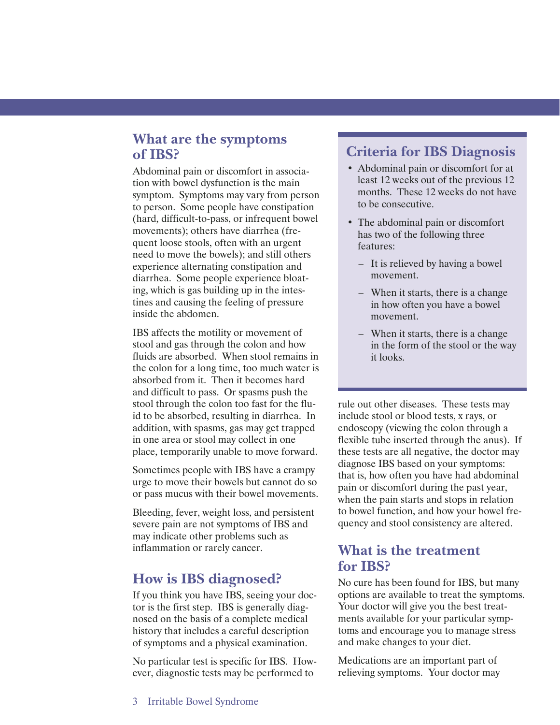### **What are the symptoms of IBS?**

Abdominal pain or discomfort in association with bowel dysfunction is the main symptom. Symptoms may vary from person to person. Some people have constipation (hard, difficult-to-pass, or infrequent bowel movements); others have diarrhea (frequent loose stools, often with an urgent need to move the bowels); and still others experience alternating constipation and diarrhea. Some people experience bloating, which is gas building up in the intestines and causing the feeling of pressure inside the abdomen.

IBS affects the motility or movement of stool and gas through the colon and how fluids are absorbed. When stool remains in the colon for a long time, too much water is absorbed from it. Then it becomes hard and difficult to pass. Or spasms push the stool through the colon too fast for the fluid to be absorbed, resulting in diarrhea. In addition, with spasms, gas may get trapped in one area or stool may collect in one place, temporarily unable to move forward.

Sometimes people with IBS have a crampy urge to move their bowels but cannot do so or pass mucus with their bowel movements.

Bleeding, fever, weight loss, and persistent severe pain are not symptoms of IBS and may indicate other problems such as inflammation or rarely cancer.

# **How is IBS diagnosed?**

If you think you have IBS, seeing your doctor is the first step. IBS is generally diagnosed on the basis of a complete medical history that includes a careful description of symptoms and a physical examination.

No particular test is specific for IBS. However, diagnostic tests may be performed to

## **Criteria for IBS Diagnosis**

- Abdominal pain or discomfort for at least 12 weeks out of the previous 12 months. These 12 weeks do not have to be consecutive.
- The abdominal pain or discomfort has two of the following three features:
	- It is relieved by having a bowel movement.
	- When it starts, there is a change in how often you have a bowel movement.
	- When it starts, there is a change in the form of the stool or the way it looks.

rule out other diseases. These tests may include stool or blood tests, x rays, or endoscopy (viewing the colon through a flexible tube inserted through the anus). If these tests are all negative, the doctor may diagnose IBS based on your symptoms: that is, how often you have had abdominal pain or discomfort during the past year, when the pain starts and stops in relation to bowel function, and how your bowel frequency and stool consistency are altered.

### **What is the treatment for IBS?**

No cure has been found for IBS, but many options are available to treat the symptoms. Your doctor will give you the best treatments available for your particular symptoms and encourage you to manage stress and make changes to your diet.

Medications are an important part of relieving symptoms. Your doctor may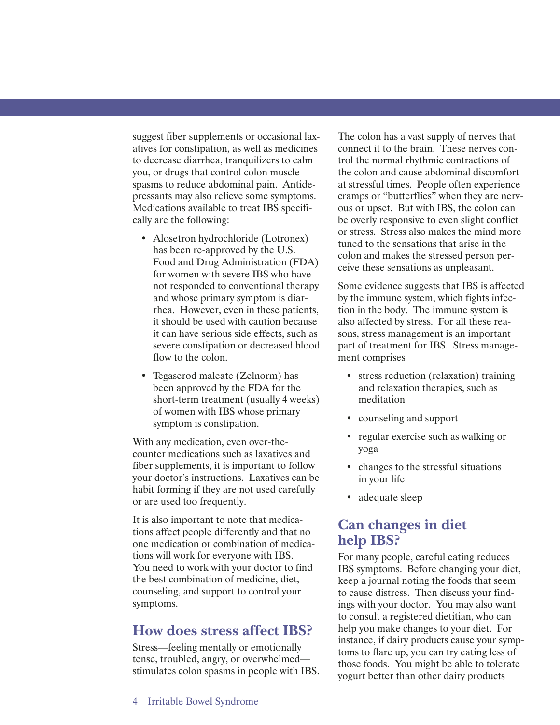suggest fiber supplements or occasional laxatives for constipation, as well as medicines to decrease diarrhea, tranquilizers to calm you, or drugs that control colon muscle spasms to reduce abdominal pain. Antidepressants may also relieve some symptoms. Medications available to treat IBS specifically are the following:

- Alosetron hydrochloride (Lotronex) has been re-approved by the U.S. Food and Drug Administration (FDA) for women with severe IBS who have not responded to conventional therapy and whose primary symptom is diarrhea. However, even in these patients, it should be used with caution because it can have serious side effects, such as severe constipation or decreased blood flow to the colon.
- Tegaserod maleate (Zelnorm) has been approved by the FDA for the short-term treatment (usually 4 weeks) of women with IBS whose primary symptom is constipation.

With any medication, even over-thecounter medications such as laxatives and fiber supplements, it is important to follow your doctor's instructions. Laxatives can be habit forming if they are not used carefully or are used too frequently.

It is also important to note that medications affect people differently and that no one medication or combination of medications will work for everyone with IBS. You need to work with your doctor to find the best combination of medicine, diet, counseling, and support to control your symptoms.

## **How does stress affect IBS?**

Stress—feeling mentally or emotionally tense, troubled, angry, or overwhelmed stimulates colon spasms in people with IBS. The colon has a vast supply of nerves that connect it to the brain. These nerves control the normal rhythmic contractions of the colon and cause abdominal discomfort at stressful times. People often experience cramps or "butterflies" when they are nervous or upset. But with IBS, the colon can be overly responsive to even slight conflict or stress. Stress also makes the mind more tuned to the sensations that arise in the colon and makes the stressed person perceive these sensations as unpleasant.

Some evidence suggests that IBS is affected by the immune system, which fights infection in the body. The immune system is also affected by stress. For all these reasons, stress management is an important part of treatment for IBS. Stress management comprises

- stress reduction (relaxation) training and relaxation therapies, such as meditation
- counseling and support
- regular exercise such as walking or yoga
- changes to the stressful situations in your life
- adequate sleep

## **Can changes in diet help IBS?**

For many people, careful eating reduces IBS symptoms. Before changing your diet, keep a journal noting the foods that seem to cause distress. Then discuss your findings with your doctor. You may also want to consult a registered dietitian, who can help you make changes to your diet. For instance, if dairy products cause your symptoms to flare up, you can try eating less of those foods. You might be able to tolerate yogurt better than other dairy products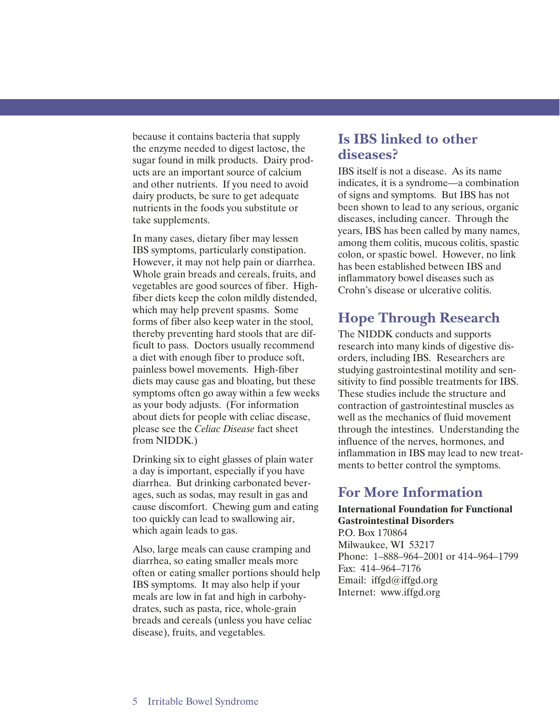because it contains bacteria that supply the enzyme needed to digest lactose, the sugar found in milk products. Dairy products are an important source of calcium and other nutrients. If you need to avoid dairy products, be sure to get adequate nutrients in the foods you substitute or take supplements.

In many cases, dietary fiber may lessen IBS symptoms, particularly constipation. However, it may not help pain or diarrhea. Whole grain breads and cereals, fruits, and vegetables are good sources of fiber. Highfiber diets keep the colon mildly distended, which may help prevent spasms. Some forms of fiber also keep water in the stool, thereby preventing hard stools that are difficult to pass. Doctors usually recommend a diet with enough fiber to produce soft, painless bowel movements. High-fiber diets may cause gas and bloating, but these symptoms often go away within a few weeks as your body adjusts. (For information about diets for people with celiac disease, please see the *Celiac Disease* fact sheet from NIDDK.)

Drinking six to eight glasses of plain water a day is important, especially if you have diarrhea. But drinking carbonated beverages, such as sodas, may result in gas and cause discomfort. Chewing gum and eating too quickly can lead to swallowing air, which again leads to gas.

Also, large meals can cause cramping and diarrhea, so eating smaller meals more often or eating smaller portions should help IBS symptoms. It may also help if your meals are low in fat and high in carbohydrates, such as pasta, rice, whole-grain breads and cereals (unless you have celiac disease), fruits, and vegetables.

#### **Is IBS linked to other diseases?**

IBS itself is not a disease. As its name indicates, it is a syndrome—a combination of signs and symptoms. But IBS has not been shown to lead to any serious, organic diseases, including cancer. Through the years, IBS has been called by many names, among them colitis, mucous colitis, spastic colon, or spastic bowel. However, no link has been established between IBS and inflammatory bowel diseases such as Crohn's disease or ulcerative colitis.

## **Hope Through Research**

The NIDDK conducts and supports research into many kinds of digestive disorders, including IBS. Researchers are studying gastrointestinal motility and sensitivity to find possible treatments for IBS. These studies include the structure and contraction of gastrointestinal muscles as well as the mechanics of fluid movement through the intestines. Understanding the influence of the nerves, hormones, and inflammation in IBS may lead to new treatments to better control the symptoms.

#### **For More Information**

**International Foundation for Functional Gastrointestinal Disorders** P.O. Box 170864 Milwaukee, WI 53217 Phone: 1–888–964–2001 or 414–964–1799 Fax: 414–964–7176 Email: iffgd@iffgd.org Internet: www.iffgd.org